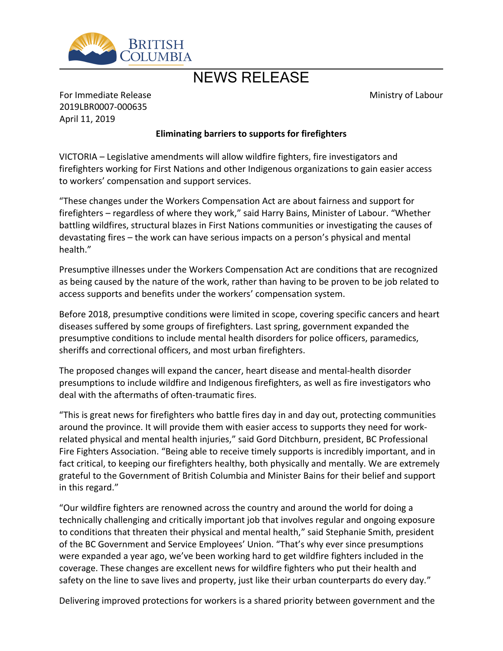

## NEWS RELEASE

Ministry of Labour

For Immediate Release 2019LBR0007-000635 April 11, 2019

## **Eliminating barriers to supports for firefighters**

VICTORIA – Legislative amendments will allow wildfire fighters, fire investigators and firefighters working for First Nations and other Indigenous organizations to gain easier access to workers' compensation and support services.

͞These changes under the Workers Compensation Act are about fairness and support for firefighters - regardless of where they work," said Harry Bains, Minister of Labour. "Whether battling wildfires, structural blazes in First Nations communities or investigating the causes of devastating fires – the work can have serious impacts on a person's physical and mental health."

Presumptive illnesses under the Workers Compensation Act are conditions that are recognized as being caused by the nature of the work, rather than having to be proven to be job related to access supports and benefits under the workers' compensation system.

Before 2018, presumptive conditions were limited in scope, covering specific cancers and heart diseases suffered by some groups of firefighters. Last spring, government expanded the presumptive conditions to include mental health disorders for police officers, paramedics, sheriffs and correctional officers, and most urban firefighters.

The proposed changes will expand the cancer, heart disease and mental-health disorder presumptions to include wildfire and Indigenous firefighters, as well as fire investigators who deal with the aftermaths of often-traumatic fires.

͞This is great news for firefighters who battle fires day in and day out, protecting communities around the province. It will provide them with easier access to supports they need for workrelated physical and mental health injuries," said Gord Ditchburn, president, BC Professional Fire Fighters Association. "Being able to receive timely supports is incredibly important, and in fact critical, to keeping our firefighters healthy, both physically and mentally. We are extremely grateful to the Government of British Columbia and Minister Bains for their belief and support in this regard."

͞Our wildfire fighters are renowned across the country and around the world for doing a technically challenging and critically important job that involves regular and ongoing exposure to conditions that threaten their physical and mental health,<sup>"</sup> said Stephanie Smith, president of the BC Government and Service Employees' Union. "That's why ever since presumptions were expanded a year ago, we've been working hard to get wildfire fighters included in the coverage. These changes are excellent news for wildfire fighters who put their health and safety on the line to save lives and property, just like their urban counterparts do every day."

Delivering improved protections for workers is a shared priority between government and the